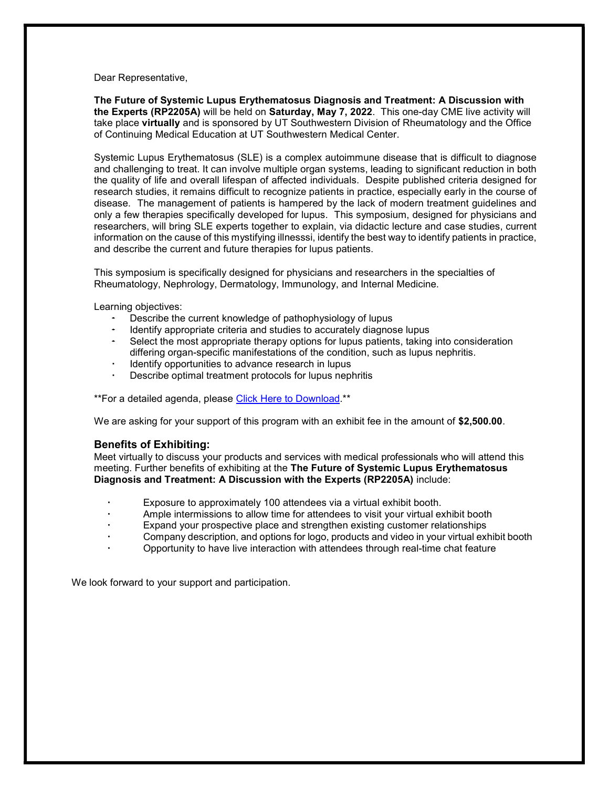Dear Representative,

The Future of Systemic Lupus Erythematosus Diagnosis and Treatment: A Discussion with the Experts (RP2205A) will be held on Saturday, May 7, 2022. This one-day CME live activity will take place virtually and is sponsored by UT Southwestern Division of Rheumatology and the Office of Continuing Medical Education at UT Southwestern Medical Center.

Systemic Lupus Erythematosus (SLE) is a complex autoimmune disease that is difficult to diagnose and challenging to treat. It can involve multiple organ systems, leading to significant reduction in both the quality of life and overall lifespan of affected individuals. Despite published criteria designed for research studies, it remains difficult to recognize patients in practice, especially early in the course of disease. The management of patients is hampered by the lack of modern treatment guidelines and only a few therapies specifically developed for lupus. This symposium, designed for physicians and researchers, will bring SLE experts together to explain, via didactic lecture and case studies, current information on the cause of this mystifying illnesssi, identify the best way to identify patients in practice, and describe the current and future therapies for lupus patients.

This symposium is specifically designed for physicians and researchers in the specialties of Rheumatology, Nephrology, Dermatology, Immunology, and Internal Medicine.

Learning objectives:

- Describe the current knowledge of pathophysiology of lupus
- Identify appropriate criteria and studies to accurately diagnose lupus
- Select the most appropriate therapy options for lupus patients, taking into consideration differing organ-specific manifestations of the condition, such as lupus nephritis.
- Identify opportunities to advance research in lupus
- Describe optimal treatment protocols for lupus nephritis

\*\*For a detailed agenda, please Click Here to Download.\*\*

We are asking for your support of this program with an exhibit fee in the amount of \$2,500.00.

#### Benefits of Exhibiting:

Meet virtually to discuss your products and services with medical professionals who will attend this meeting. Further benefits of exhibiting at the The Future of Systemic Lupus Erythematosus Diagnosis and Treatment: A Discussion with the Experts (RP2205A) include:

- Exposure to approximately 100 attendees via a virtual exhibit booth.
- Ample intermissions to allow time for attendees to visit your virtual exhibit booth
- Expand your prospective place and strengthen existing customer relationships
- Company description, and options for logo, products and video in your virtual exhibit booth
- Opportunity to have live interaction with attendees through real-time chat feature

We look forward to your support and participation.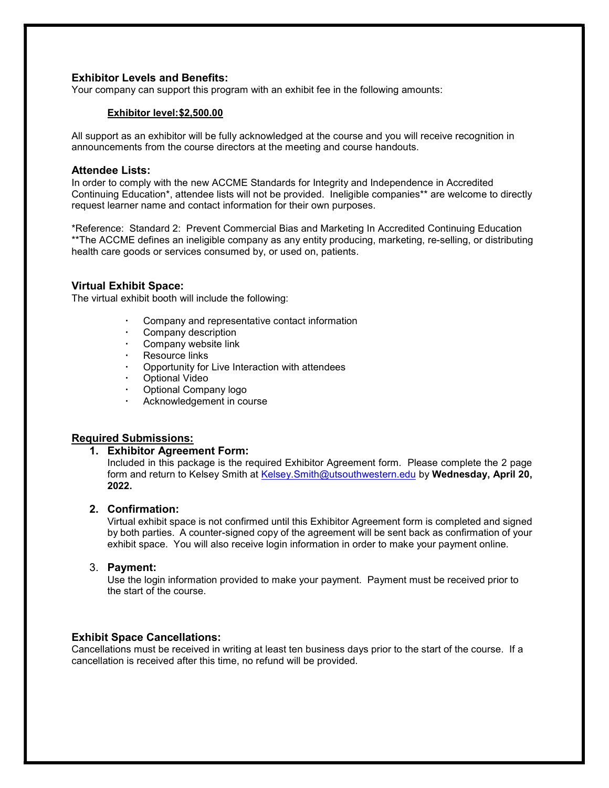## Exhibitor Levels and Benefits:

Your company can support this program with an exhibit fee in the following amounts:

#### Exhibitor level: \$2,500.00

All support as an exhibitor will be fully acknowledged at the course and you will receive recognition in announcements from the course directors at the meeting and course handouts.

#### Attendee Lists:

In order to comply with the new ACCME Standards for Integrity and Independence in Accredited Continuing Education\*, attendee lists will not be provided. Ineligible companies\*\* are welcome to directly request learner name and contact information for their own purposes.

\*Reference: Standard 2: Prevent Commercial Bias and Marketing In Accredited Continuing Education \*\*The ACCME defines an ineligible company as any entity producing, marketing, re-selling, or distributing health care goods or services consumed by, or used on, patients. 

## Virtual Exhibit Space:

The virtual exhibit booth will include the following:

- Company and representative contact information
- Company description
- Company website link
- Resource links
- Opportunity for Live Interaction with attendees
- Optional Video
- Optional Company logo
- Acknowledgement in course

## Required Submissions:

## 1. Exhibitor Agreement Form:

Included in this package is the required Exhibitor Agreement form. Please complete the 2 page form and return to Kelsey Smith at Kelsey. Smith@utsouthwestern.edu by Wednesday, April 20, 2022.

## 2. Confirmation:

Virtual exhibit space is not confirmed until this Exhibitor Agreement form is completed and signed by both parties. A counter-signed copy of the agreement will be sent back as confirmation of your exhibit space. You will also receive login information in order to make your payment online.

## 3. Payment:

Use the login information provided to make your payment. Payment must be received prior to the start of the course.

## Exhibit Space Cancellations:

Cancellations must be received in writing at least ten business days prior to the start of the course. If a cancellation is received after this time, no refund will be provided.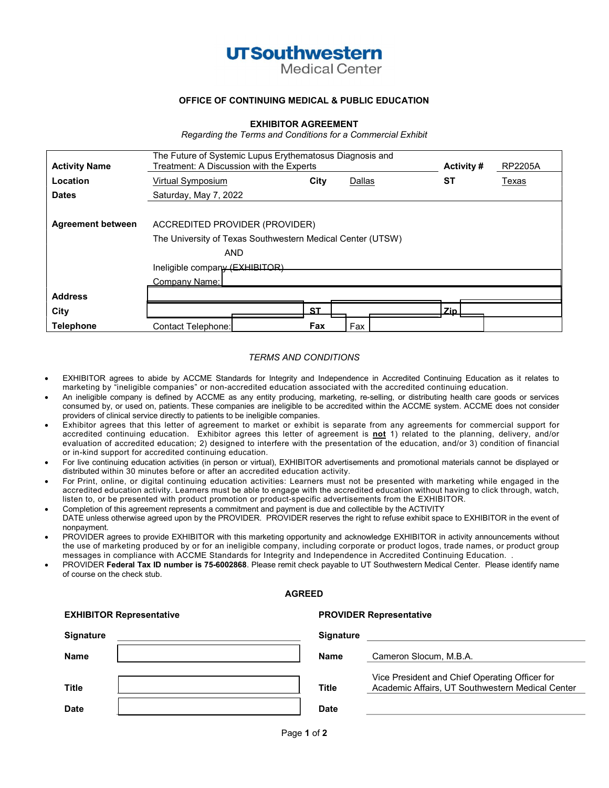## **UTSouthwestern**

**Medical Center** 

#### OFFICE OF CONTINUING MEDICAL & PUBLIC EDUCATION

#### EXHIBITOR AGREEMENT

Regarding the Terms and Conditions for a Commercial Exhibit

| <b>Activity Name</b>     | The Future of Systemic Lupus Erythematosus Diagnosis and<br>Treatment: A Discussion with the Experts<br><b>Activity #</b><br><b>RP2205A</b> |  |           |        |  |       |       |
|--------------------------|---------------------------------------------------------------------------------------------------------------------------------------------|--|-----------|--------|--|-------|-------|
| Location                 | Virtual Symposium                                                                                                                           |  | City      | Dallas |  | ST    | Texas |
| <b>Dates</b>             | Saturday, May 7, 2022                                                                                                                       |  |           |        |  |       |       |
|                          |                                                                                                                                             |  |           |        |  |       |       |
| <b>Agreement between</b> | ACCREDITED PROVIDER (PROVIDER)                                                                                                              |  |           |        |  |       |       |
|                          | The University of Texas Southwestern Medical Center (UTSW)                                                                                  |  |           |        |  |       |       |
|                          | <b>AND</b>                                                                                                                                  |  |           |        |  |       |       |
|                          | Ineligible company (EXHIBITOR)                                                                                                              |  |           |        |  |       |       |
|                          | Company Name:                                                                                                                               |  |           |        |  |       |       |
| <b>Address</b>           |                                                                                                                                             |  |           |        |  |       |       |
| City                     |                                                                                                                                             |  | <b>ST</b> |        |  | Zin l |       |
| <b>Telephone</b>         | Contact Telephone:                                                                                                                          |  | Fax       | Fax    |  |       |       |

#### TERMS AND CONDITIONS

- EXHIBITOR agrees to abide by ACCME Standards for Integrity and Independence in Accredited Continuing Education as it relates to marketing by "ineligible companies" or non-accredited education associated with the accredited continuing education.
- An ineligible company is defined by ACCME as any entity producing, marketing, re-selling, or distributing health care goods or services consumed by, or used on, patients. These companies are ineligible to be accredited within the ACCME system. ACCME does not consider providers of clinical service directly to patients to be ineligible companies.
- Exhibitor agrees that this letter of agreement to market or exhibit is separate from any agreements for commercial support for accredited continuing education. Exhibitor agrees this letter of agreement is not 1) related to the planning, delivery, and/or evaluation of accredited education; 2) designed to interfere with the presentation of the education, and/or 3) condition of financial or in-kind support for accredited continuing education.
- For live continuing education activities (in person or virtual), EXHIBITOR advertisements and promotional materials cannot be displayed or distributed within 30 minutes before or after an accredited education activity.
- For Print, online, or digital continuing education activities: Learners must not be presented with marketing while engaged in the accredited education activity. Learners must be able to engage with the accredited education without having to click through, watch, listen to, or be presented with product promotion or product-specific advertisements from the EXHIBITOR.
- Completion of this agreement represents a commitment and payment is due and collectible by the ACTIVITY DATE unless otherwise agreed upon by the PROVIDER. PROVIDER reserves the right to refuse exhibit space to EXHIBITOR in the event of nonpayment.
- PROVIDER agrees to provide EXHIBITOR with this marketing opportunity and acknowledge EXHIBITOR in activity announcements without the use of marketing produced by or for an ineligible company, including corporate or product logos, trade names, or product group messages in compliance with ACCME Standards for Integrity and Independence in Accredited Continuing Education. .
- PROVIDER Federal Tax ID number is 75-6002868. Please remit check payable to UT Southwestern Medical Center. Please identify name of course on the check stub.

| <b>EXHIBITOR Representative</b> |                  | <b>PROVIDER Representative</b>                                                                     |  |  |  |
|---------------------------------|------------------|----------------------------------------------------------------------------------------------------|--|--|--|
| <b>Signature</b>                | <b>Signature</b> |                                                                                                    |  |  |  |
| <b>Name</b>                     | <b>Name</b>      | Cameron Slocum, M.B.A.                                                                             |  |  |  |
| <b>Title</b>                    | <b>Title</b>     | Vice President and Chief Operating Officer for<br>Academic Affairs, UT Southwestern Medical Center |  |  |  |
| <b>Date</b>                     | <b>Date</b>      |                                                                                                    |  |  |  |

**AGREED** 

#### Page 1 of 2